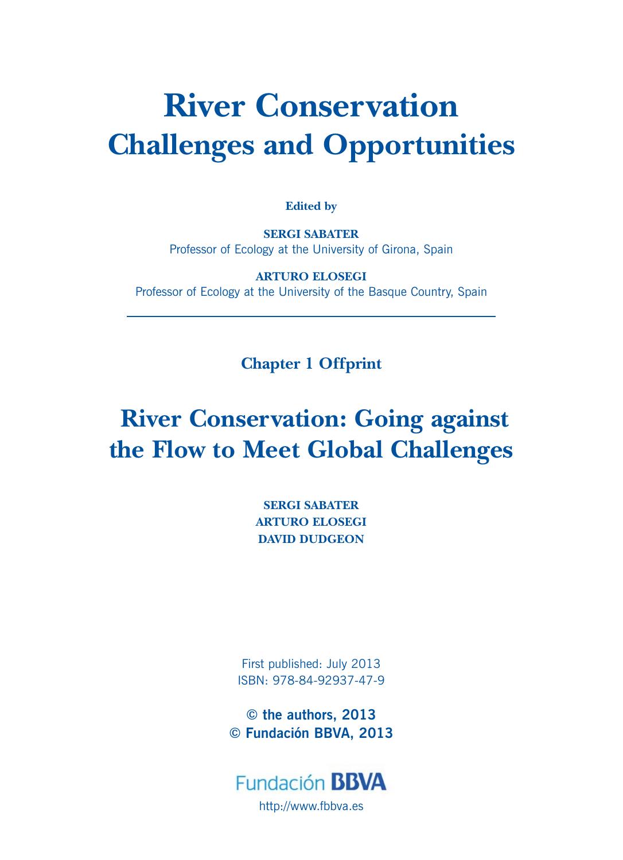# **River Conservation Challenges and Opportunities**

**Edited by**

**SERGI SABATER**  Professor of Ecology at the University of Girona, Spain

**ARTURO ELOSEGI** Professor of Ecology at the University of the Basque Country, Spain

**Chapter 1 Offprint**

# **River Conservation: Going against the Flow to Meet Global Challenges**

**SERGI SABATER ARTURO ELOSEGI DAVID DUDGEON**

First published: July 2013 ISBN: 978-84-92937-47-9

**© the authors, 2013 © Fundación BBVA, 2013**

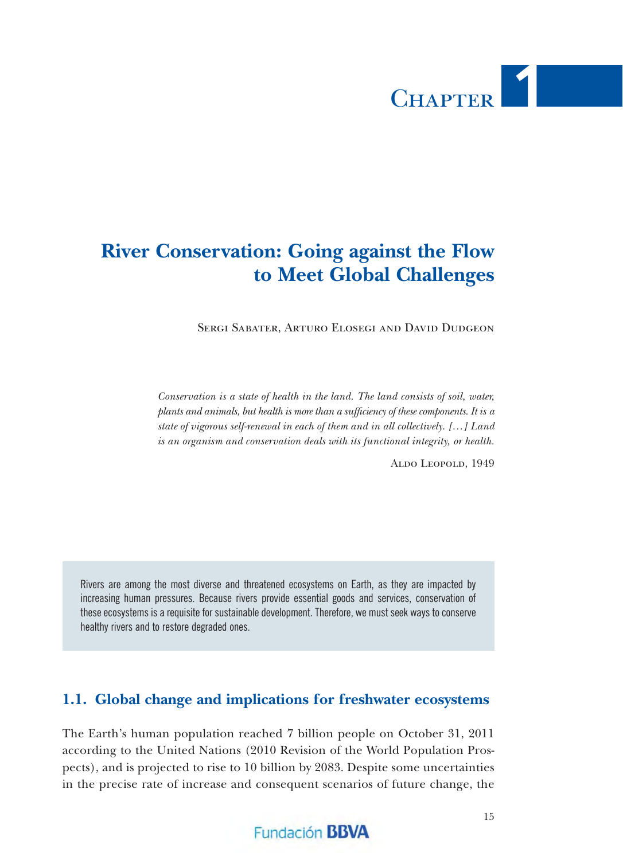# CHAPTER 1

# **River Conservation: Going against the Flow to Meet Global Challenges**

Sergi Sabater, Arturo Elosegi and David Dudgeon

*Conservation is a state of health in the land. The land consists of soil, water, plants and animals, but health is more than a sufficiency of these components. It is a state of vigorous self-renewal in each of them and in all collectively. […] Land is an organism and conservation deals with its functional integrity, or health.*

Aldo Leopold, 1949

Rivers are among the most diverse and threatened ecosystems on Earth, as they are impacted by increasing human pressures. Because rivers provide essential goods and services, conservation of these ecosystems is a requisite for sustainable development. Therefore, we must seek ways to conserve healthy rivers and to restore degraded ones.

#### **1.1. Global change and implications for freshwater ecosystems**

The Earth's human population reached 7 billion people on October 31, 2011 according to the United Nations (2010 Revision of the World Population Prospects), and is projected to rise to 10 billion by 2083. Despite some uncertainties in the precise rate of increase and consequent scenarios of future change, the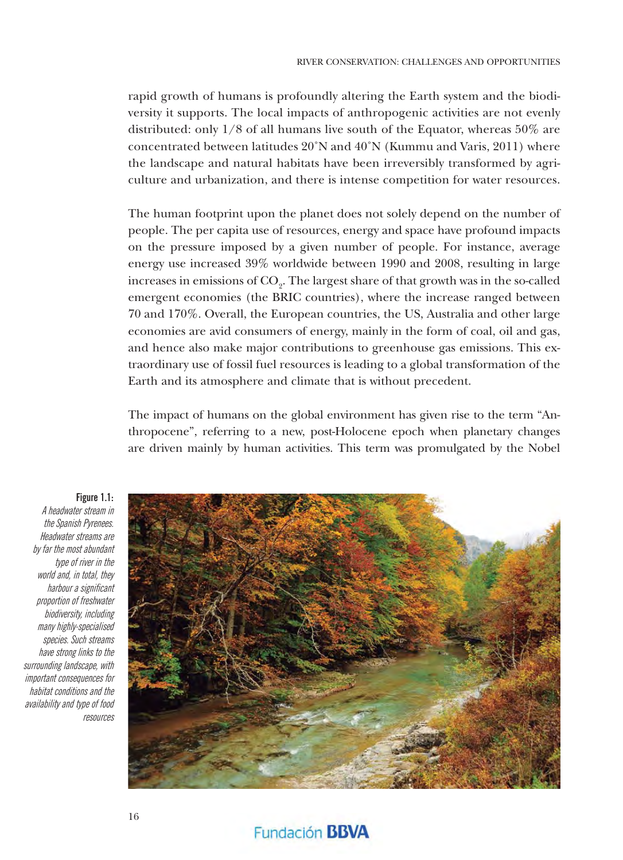rapid growth of humans is profoundly altering the Earth system and the biodiversity it supports. The local impacts of anthropogenic activities are not evenly distributed: only 1/8 of all humans live south of the Equator, whereas 50% are concentrated between latitudes 20˚N and 40˚N (Kummu and Varis, 2011) where the landscape and natural habitats have been irreversibly transformed by agriculture and urbanization, and there is intense competition for water resources.

The human footprint upon the planet does not solely depend on the number of people. The per capita use of resources, energy and space have profound impacts on the pressure imposed by a given number of people. For instance, average energy use increased 39% worldwide between 1990 and 2008, resulting in large increases in emissions of  $\mathrm{CO}_2$ . The largest share of that growth was in the so-called emergent economies (the BRIC countries), where the increase ranged between 70 and 170%. Overall, the European countries, the US, Australia and other large economies are avid consumers of energy, mainly in the form of coal, oil and gas, and hence also make major contributions to greenhouse gas emissions. This extraordinary use of fossil fuel resources is leading to a global transformation of the Earth and its atmosphere and climate that is without precedent.

The impact of humans on the global environment has given rise to the term "Anthropocene", referring to a new, post-Holocene epoch when planetary changes are driven mainly by human activities. This term was promulgated by the Nobel



Fundación **BBVA** 

**Figure 1.1:**

A headwater stream in the Spanish Pyrenees. Headwater streams are by far the most abundant type of river in the world and, in total, they harbour a significant proportion of freshwater biodiversity, including many highly-specialised species. Such streams have strong links to the surrounding landscape, with important consequences for habitat conditions and the availability and type of food resources

16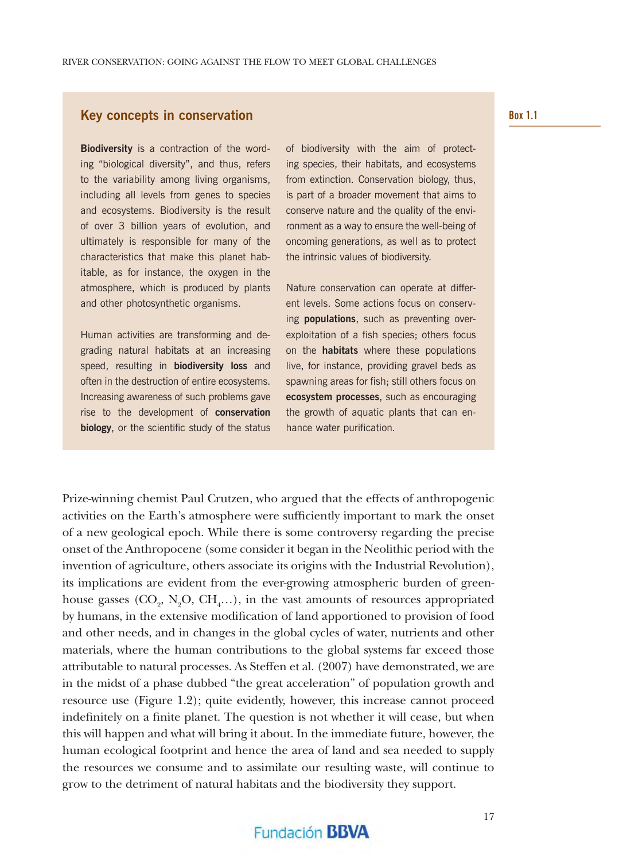#### **Key concepts in conservation**

**Biodiversity** is a contraction of the wording "biological diversity", and thus, refers to the variability among living organisms, including all levels from genes to species and ecosystems. Biodiversity is the result of over 3 billion years of evolution, and ultimately is responsible for many of the characteristics that make this planet habitable, as for instance, the oxygen in the atmosphere, which is produced by plants and other photosynthetic organisms.

Human activities are transforming and degrading natural habitats at an increasing speed, resulting in **biodiversity loss** and often in the destruction of entire ecosystems. Increasing awareness of such problems gave rise to the development of **conservation biology**, or the scientific study of the status of biodiversity with the aim of protecting species, their habitats, and ecosystems from extinction. Conservation biology, thus, is part of a broader movement that aims to conserve nature and the quality of the environment as a way to ensure the well-being of oncoming generations, as well as to protect the intrinsic values of biodiversity.

Nature conservation can operate at different levels. Some actions focus on conserving **populations**, such as preventing overexploitation of a fish species; others focus on the **habitats** where these populations live, for instance, providing gravel beds as spawning areas for fish; still others focus on **ecosystem processes**, such as encouraging the growth of aquatic plants that can enhance water purification.

Prize-winning chemist Paul Crutzen, who argued that the effects of anthropogenic activities on the Earth's atmosphere were sufficiently important to mark the onset of a new geological epoch. While there is some controversy regarding the precise onset of the Anthropocene (some consider it began in the Neolithic period with the invention of agriculture, others associate its origins with the Industrial Revolution), its implications are evident from the ever-growing atmospheric burden of greenhouse gasses  $(CO_2, N_2O, CH_4...)$ , in the vast amounts of resources appropriated by humans, in the extensive modification of land apportioned to provision of food and other needs, and in changes in the global cycles of water, nutrients and other materials, where the human contributions to the global systems far exceed those attributable to natural processes. As Steffen et al. (2007) have demonstrated, we are in the midst of a phase dubbed "the great acceleration" of population growth and resource use (Figure 1.2); quite evidently, however, this increase cannot proceed indefinitely on a finite planet. The question is not whether it will cease, but when this will happen and what will bring it about. In the immediate future, however, the human ecological footprint and hence the area of land and sea needed to supply the resources we consume and to assimilate our resulting waste, will continue to grow to the detriment of natural habitats and the biodiversity they support.

#### **Box 1.1**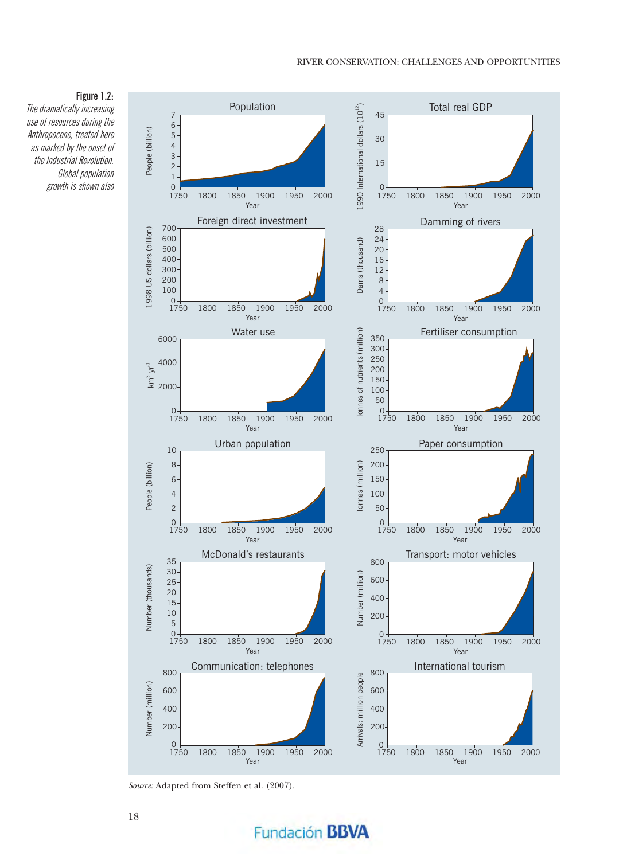#### **Figure 1.2:** The dramatically increasing use of resources during the Anthropocene, treated here as marked by the onset of the Industrial Revolution. Global population growth is shown also



*Source:* Adapted from Steffen et al. (2007).

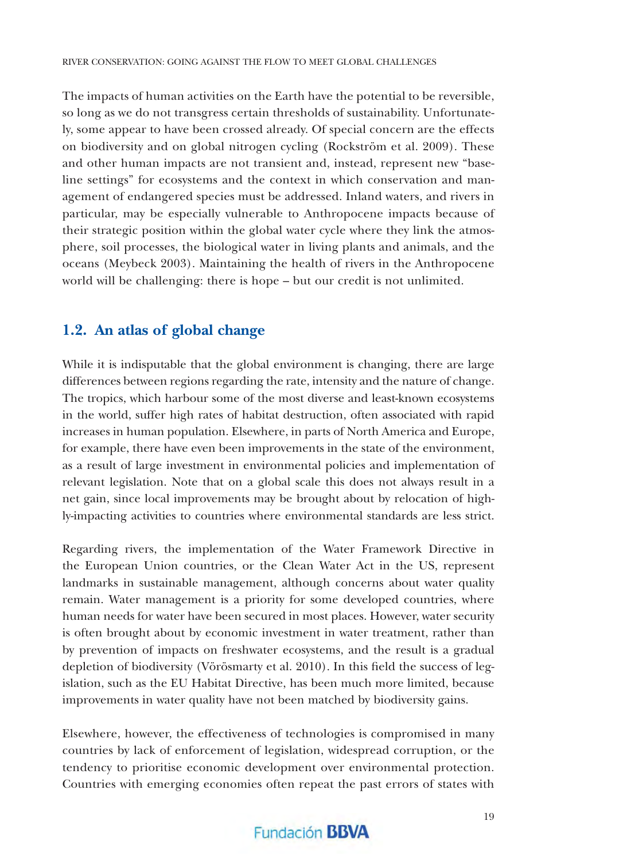The impacts of human activities on the Earth have the potential to be reversible, so long as we do not transgress certain thresholds of sustainability. Unfortunately, some appear to have been crossed already. Of special concern are the effects on biodiversity and on global nitrogen cycling (Rockström et al. 2009). These and other human impacts are not transient and, instead, represent new "baseline settings" for ecosystems and the context in which conservation and management of endangered species must be addressed. Inland waters, and rivers in particular, may be especially vulnerable to Anthropocene impacts because of their strategic position within the global water cycle where they link the atmosphere, soil processes, the biological water in living plants and animals, and the oceans (Meybeck 2003). Maintaining the health of rivers in the Anthropocene world will be challenging: there is hope – but our credit is not unlimited.

#### **1.2. An atlas of global change**

While it is indisputable that the global environment is changing, there are large differences between regions regarding the rate, intensity and the nature of change. The tropics, which harbour some of the most diverse and least-known ecosystems in the world, suffer high rates of habitat destruction, often associated with rapid increases in human population. Elsewhere, in parts of North America and Europe, for example, there have even been improvements in the state of the environment, as a result of large investment in environmental policies and implementation of relevant legislation. Note that on a global scale this does not always result in a net gain, since local improvements may be brought about by relocation of highly-impacting activities to countries where environmental standards are less strict.

Regarding rivers, the implementation of the Water Framework Directive in the European Union countries, or the Clean Water Act in the US, represent landmarks in sustainable management, although concerns about water quality remain. Water management is a priority for some developed countries, where human needs for water have been secured in most places. However, water security is often brought about by economic investment in water treatment, rather than by prevention of impacts on freshwater ecosystems, and the result is a gradual depletion of biodiversity (Vörösmarty et al.  $2010$ ). In this field the success of legislation, such as the EU Habitat Directive, has been much more limited, because improvements in water quality have not been matched by biodiversity gains.

Elsewhere, however, the effectiveness of technologies is compromised in many countries by lack of enforcement of legislation, widespread corruption, or the tendency to prioritise economic development over environmental protection. Countries with emerging economies often repeat the past errors of states with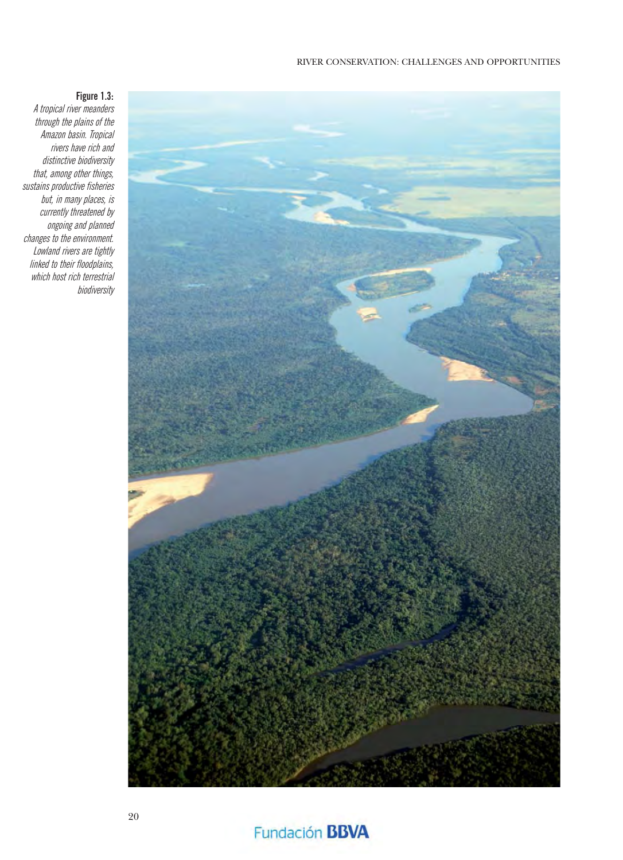#### RIVER CONSERVATION: CHALLENGES AND OPPORTUNITIES



#### **Figure 1.3:**

A tropical river meanders through the plains of the Amazon basin. Tropical rivers have rich and distinctive biodiversity that, among other things, sustains productive fisheries but, in many places, is currently threatened by ongoing and planned changes to the environment. Lowland rivers are tightly linked to their floodplains, which host rich terrestrial biodiversity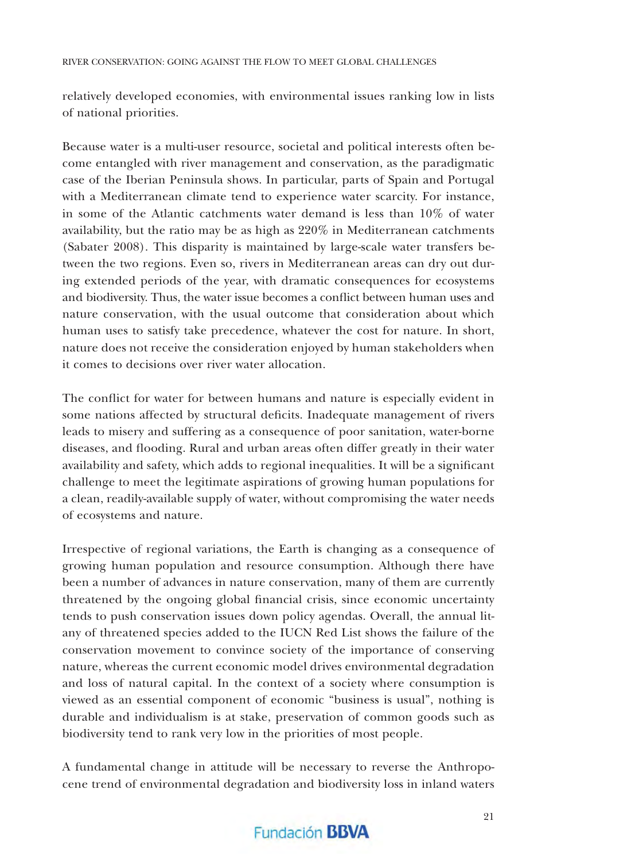relatively developed economies, with environmental issues ranking low in lists of national priorities.

Because water is a multi-user resource, societal and political interests often become entangled with river management and conservation, as the paradigmatic case of the Iberian Peninsula shows. In particular, parts of Spain and Portugal with a Mediterranean climate tend to experience water scarcity. For instance, in some of the Atlantic catchments water demand is less than 10% of water availability, but the ratio may be as high as 220% in Mediterranean catchments (Sabater 2008). This disparity is maintained by large-scale water transfers between the two regions. Even so, rivers in Mediterranean areas can dry out during extended periods of the year, with dramatic consequences for ecosystems and biodiversity. Thus, the water issue becomes a conflict between human uses and nature conservation, with the usual outcome that consideration about which human uses to satisfy take precedence, whatever the cost for nature. In short, nature does not receive the consideration enjoyed by human stakeholders when it comes to decisions over river water allocation.

The conflict for water for between humans and nature is especially evident in some nations affected by structural deficits. Inadequate management of rivers leads to misery and suffering as a consequence of poor sanitation, water-borne diseases, and flooding. Rural and urban areas often differ greatly in their water availability and safety, which adds to regional inequalities. It will be a significant challenge to meet the legitimate aspirations of growing human populations for a clean, readily-available supply of water, without compromising the water needs of ecosystems and nature.

Irrespective of regional variations, the Earth is changing as a consequence of growing human population and resource consumption. Although there have been a number of advances in nature conservation, many of them are currently threatened by the ongoing global financial crisis, since economic uncertainty tends to push conservation issues down policy agendas. Overall, the annual litany of threatened species added to the IUCN Red List shows the failure of the conservation movement to convince society of the importance of conserving nature, whereas the current economic model drives environmental degradation and loss of natural capital. In the context of a society where consumption is viewed as an essential component of economic "business is usual", nothing is durable and individualism is at stake, preservation of common goods such as biodiversity tend to rank very low in the priorities of most people.

A fundamental change in attitude will be necessary to reverse the Anthropocene trend of environmental degradation and biodiversity loss in inland waters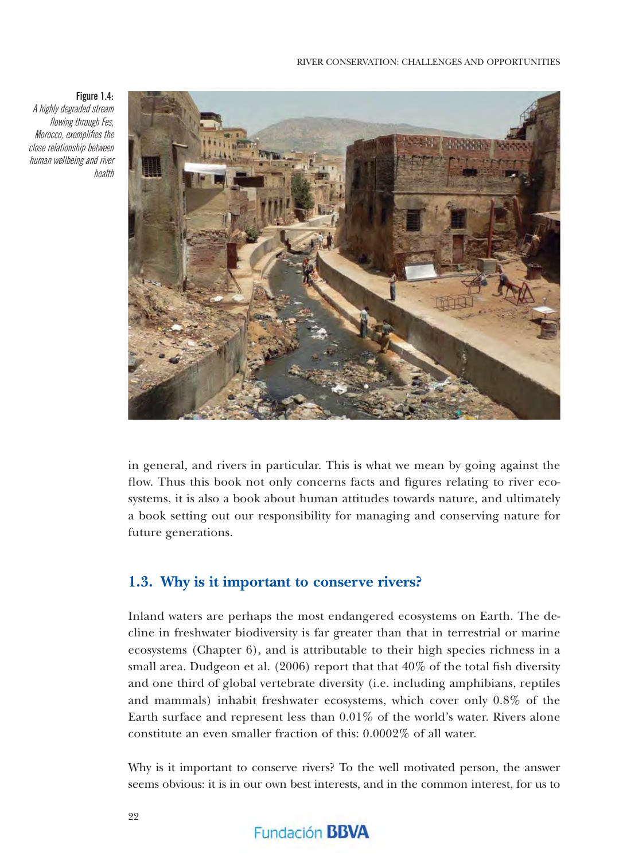#### **Figure 1.4:**

A highly degraded stream flowing through Fes, Morocco, exemplifies the close relationship between human wellbeing and river health



in general, and rivers in particular. This is what we mean by going against the flow. Thus this book not only concerns facts and figures relating to river ecosystems, it is also a book about human attitudes towards nature, and ultimately a book setting out our responsibility for managing and conserving nature for future generations.

#### **1.3. Why is it important to conserve rivers?**

Inland waters are perhaps the most endangered ecosystems on Earth. The decline in freshwater biodiversity is far greater than that in terrestrial or marine ecosystems (Chapter 6), and is attributable to their high species richness in a small area. Dudgeon et al. (2006) report that that  $40\%$  of the total fish diversity and one third of global vertebrate diversity (i.e. including amphibians, reptiles and mammals) inhabit freshwater ecosystems, which cover only 0.8% of the Earth surface and represent less than 0.01% of the world's water. Rivers alone constitute an even smaller fraction of this: 0.0002% of all water.

Why is it important to conserve rivers? To the well motivated person, the answer seems obvious: it is in our own best interests, and in the common interest, for us to

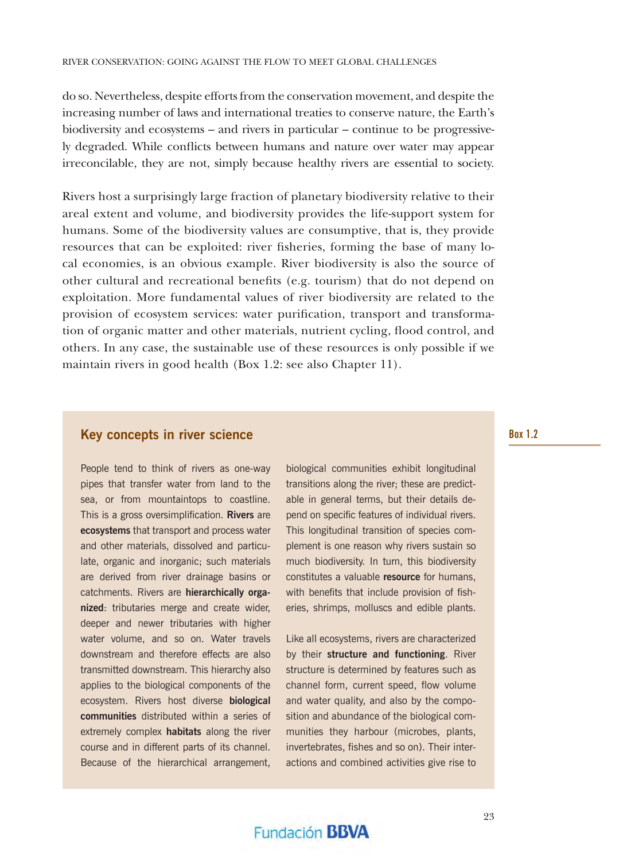do so. Nevertheless, despite efforts from the conservation movement, and despite the increasing number of laws and international treaties to conserve nature, the Earth's biodiversity and ecosystems – and rivers in particular – continue to be progressively degraded. While conflicts between humans and nature over water may appear irreconcilable, they are not, simply because healthy rivers are essential to society.

Rivers host a surprisingly large fraction of planetary biodiversity relative to their areal extent and volume, and biodiversity provides the life-support system for humans. Some of the biodiversity values are consumptive, that is, they provide resources that can be exploited: river fisheries, forming the base of many local economies, is an obvious example. River biodiversity is also the source of other cultural and recreational benefits (e.g. tourism) that do not depend on exploitation. More fundamental values of river biodiversity are related to the provision of ecosystem services: water purification, transport and transformation of organic matter and other materials, nutrient cycling, flood control, and others. In any case, the sustainable use of these resources is only possible if we maintain rivers in good health (Box 1.2: see also Chapter 11).

#### **Key concepts in river science**

People tend to think of rivers as one-way pipes that transfer water from land to the sea, or from mountaintops to coastline. This is a gross oversimplification. **Rivers** are **ecosystems** that transport and process water and other materials, dissolved and particulate, organic and inorganic; such materials are derived from river drainage basins or catchments. Rivers are **hierarchically organized**: tributaries merge and create wider, deeper and newer tributaries with higher water volume, and so on. Water travels downstream and therefore effects are also transmitted downstream. This hierarchy also applies to the biological components of the ecosystem. Rivers host diverse **biological communities** distributed within a series of extremely complex **habitats** along the river course and in different parts of its channel. Because of the hierarchical arrangement,

biological communities exhibit longitudinal transitions along the river; these are predictable in general terms, but their details depend on specific features of individual rivers. This longitudinal transition of species complement is one reason why rivers sustain so much biodiversity. In turn, this biodiversity constitutes a valuable **resource** for humans, with benefits that include provision of fisheries, shrimps, molluscs and edible plants.

Like all ecosystems, rivers are characterized by their **structure and functioning**. River structure is determined by features such as channel form, current speed, flow volume and water quality, and also by the composition and abundance of the biological communities they harbour (microbes, plants, invertebrates, fishes and so on). Their interactions and combined activities give rise to

#### **Box 1.2**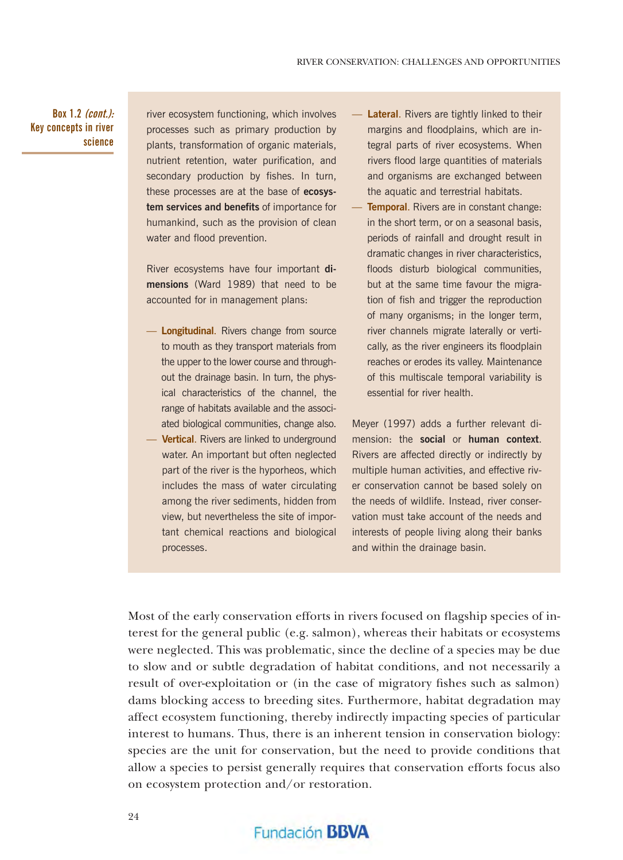**Box 1.2 (cont.): Key concepts in river science**

river ecosystem functioning, which involves processes such as primary production by plants, transformation of organic materials, nutrient retention, water purification, and secondary production by fishes. In turn, these processes are at the base of **ecosystem services and benefits** of importance for humankind, such as the provision of clean water and flood prevention.

River ecosystems have four important **dimensions** (Ward 1989) that need to be accounted for in management plans:

- **Longitudinal**. Rivers change from source to mouth as they transport materials from the upper to the lower course and throughout the drainage basin. In turn, the physical characteristics of the channel, the range of habitats available and the associated biological communities, change also.
- **Vertical**. Rivers are linked to underground water. An important but often neglected part of the river is the hyporheos, which includes the mass of water circulating among the river sediments, hidden from view, but nevertheless the site of important chemical reactions and biological processes.
- **Lateral.** Rivers are tightly linked to their margins and floodplains, which are integral parts of river ecosystems. When rivers flood large quantities of materials and organisms are exchanged between the aquatic and terrestrial habitats.
- **Temporal.** Rivers are in constant change: in the short term, or on a seasonal basis, periods of rainfall and drought result in dramatic changes in river characteristics, floods disturb biological communities, but at the same time favour the migration of fish and trigger the reproduction of many organisms; in the longer term, river channels migrate laterally or vertically, as the river engineers its floodplain reaches or erodes its valley. Maintenance of this multiscale temporal variability is essential for river health.

Meyer (1997) adds a further relevant dimension: the **social** or **human context**. Rivers are affected directly or indirectly by multiple human activities, and effective river conservation cannot be based solely on the needs of wildlife. Instead, river conservation must take account of the needs and interests of people living along their banks and within the drainage basin.

Most of the early conservation efforts in rivers focused on flagship species of interest for the general public (e.g. salmon), whereas their habitats or ecosystems were neglected. This was problematic, since the decline of a species may be due to slow and or subtle degradation of habitat conditions, and not necessarily a result of over-exploitation or (in the case of migratory fishes such as salmon) dams blocking access to breeding sites. Furthermore, habitat degradation may affect ecosystem functioning, thereby indirectly impacting species of particular interest to humans. Thus, there is an inherent tension in conservation biology: species are the unit for conservation, but the need to provide conditions that allow a species to persist generally requires that conservation efforts focus also on ecosystem protection and/or restoration.

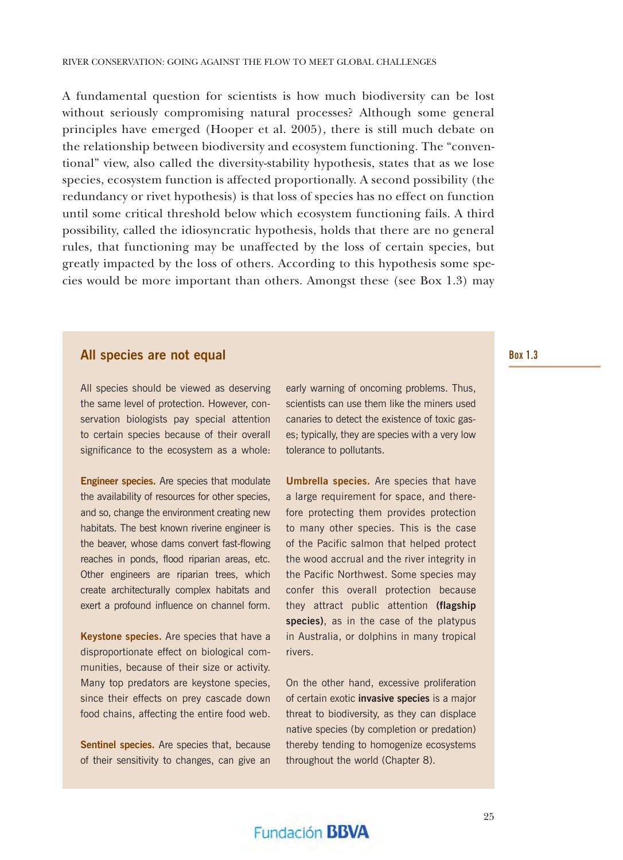A fundamental question for scientists is how much biodiversity can be lost without seriously compromising natural processes? Although some general principles have emerged (Hooper et al. 2005), there is still much debate on the relationship between biodiversity and ecosystem functioning. The "conventional" view, also called the diversity-stability hypothesis, states that as we lose species, ecosystem function is affected proportionally. A second possibility (the redundancy or rivet hypothesis) is that loss of species has no effect on function until some critical threshold below which ecosystem functioning fails. A third possibility, called the idiosyncratic hypothesis, holds that there are no general rules, that functioning may be unaffected by the loss of certain species, but greatly impacted by the loss of others. According to this hypothesis some species would be more important than others. Amongst these (see Box 1.3) may

#### **All species are not equal**

All species should be viewed as deserving the same level of protection. However, conservation biologists pay special attention to certain species because of their overall significance to the ecosystem as a whole:

**Engineer species.** Are species that modulate the availability of resources for other species, and so, change the environment creating new habitats. The best known riverine engineer is the beaver, whose dams convert fast-flowing reaches in ponds, flood riparian areas, etc. Other engineers are riparian trees, which create architecturally complex habitats and exert a profound influence on channel form.

**Keystone species.** Are species that have a disproportionate effect on biological communities, because of their size or activity. Many top predators are keystone species, since their effects on prey cascade down food chains, affecting the entire food web.

**Sentinel species.** Are species that, because of their sensitivity to changes, can give an early warning of oncoming problems. Thus, scientists can use them like the miners used canaries to detect the existence of toxic gases; typically, they are species with a very low tolerance to pollutants.

**Umbrella species.** Are species that have a large requirement for space, and therefore protecting them provides protection to many other species. This is the case of the Pacific salmon that helped protect the wood accrual and the river integrity in the Pacific Northwest. Some species may confer this overall protection because they attract public attention **(flagship species)**, as in the case of the platypus in Australia, or dolphins in many tropical rivers.

On the other hand, excessive proliferation of certain exotic **invasive species** is a major threat to biodiversity, as they can displace native species (by completion or predation) thereby tending to homogenize ecosystems throughout the world (Chapter 8).

#### **Box 1.3**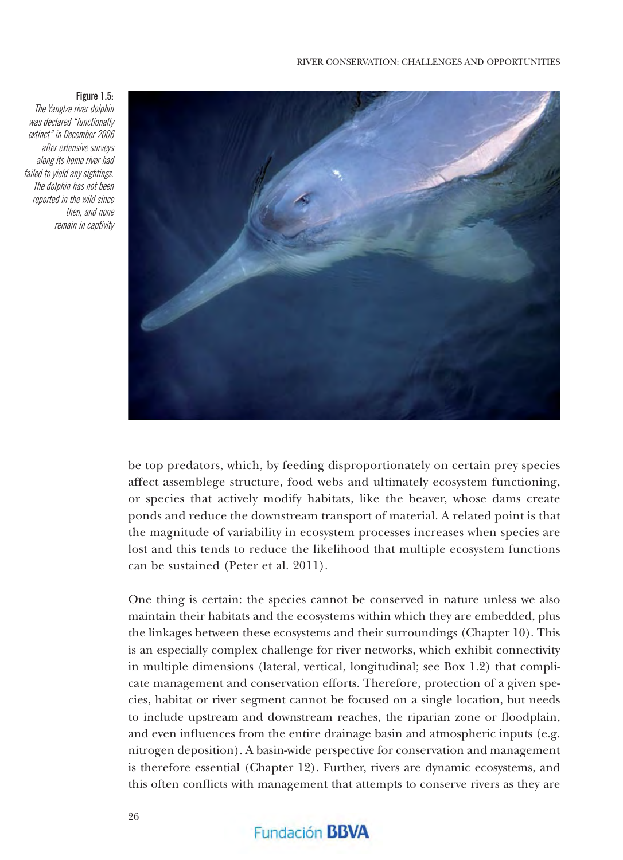

**Figure 1.5:**

The Yangtze river dolphin was declared "functionally extinct" in December 2006 after extensive surveys along its home river had failed to yield any sightings. The dolphin has not been reported in the wild since then, and none remain in captivity

> be top predators, which, by feeding disproportionately on certain prey species affect assemblege structure, food webs and ultimately ecosystem functioning, or species that actively modify habitats, like the beaver, whose dams create ponds and reduce the downstream transport of material. A related point is that the magnitude of variability in ecosystem processes increases when species are lost and this tends to reduce the likelihood that multiple ecosystem functions can be sustained (Peter et al. 2011).

> One thing is certain: the species cannot be conserved in nature unless we also maintain their habitats and the ecosystems within which they are embedded, plus the linkages between these ecosystems and their surroundings (Chapter 10). This is an especially complex challenge for river networks, which exhibit connectivity in multiple dimensions (lateral, vertical, longitudinal; see Box 1.2) that complicate management and conservation efforts. Therefore, protection of a given species, habitat or river segment cannot be focused on a single location, but needs to include upstream and downstream reaches, the riparian zone or floodplain, and even influences from the entire drainage basin and atmospheric inputs (e.g. nitrogen deposition). A basin-wide perspective for conservation and management is therefore essential (Chapter 12). Further, rivers are dynamic ecosystems, and this often conflicts with management that attempts to conserve rivers as they are

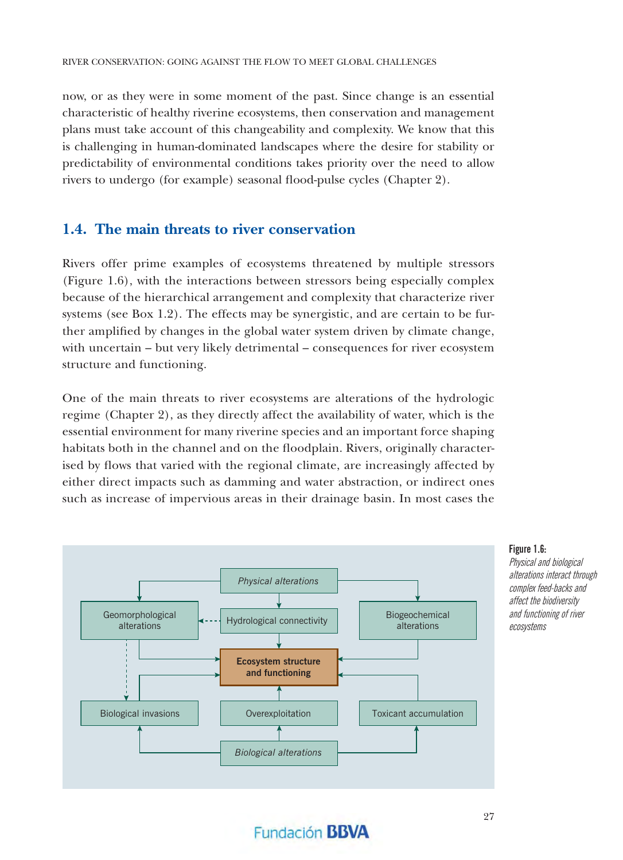now, or as they were in some moment of the past. Since change is an essential characteristic of healthy riverine ecosystems, then conservation and management plans must take account of this changeability and complexity. We know that this is challenging in human-dominated landscapes where the desire for stability or predictability of environmental conditions takes priority over the need to allow rivers to undergo (for example) seasonal flood-pulse cycles (Chapter 2).

#### **1.4. The main threats to river conservation**

Rivers offer prime examples of ecosystems threatened by multiple stressors (Figure 1.6), with the interactions between stressors being especially complex because of the hierarchical arrangement and complexity that characterize river systems (see Box 1.2). The effects may be synergistic, and are certain to be further amplified by changes in the global water system driven by climate change, with uncertain – but very likely detrimental – consequences for river ecosystem structure and functioning.

One of the main threats to river ecosystems are alterations of the hydrologic regime (Chapter 2), as they directly affect the availability of water, which is the essential environment for many riverine species and an important force shaping habitats both in the channel and on the floodplain. Rivers, originally characterised by flows that varied with the regional climate, are increasingly affected by either direct impacts such as damming and water abstraction, or indirect ones such as increase of impervious areas in their drainage basin. In most cases the



**Figure 1.6:**

Physical and biological alterations interact through complex feed-backs and affect the biodiversity and functioning of river ecosystems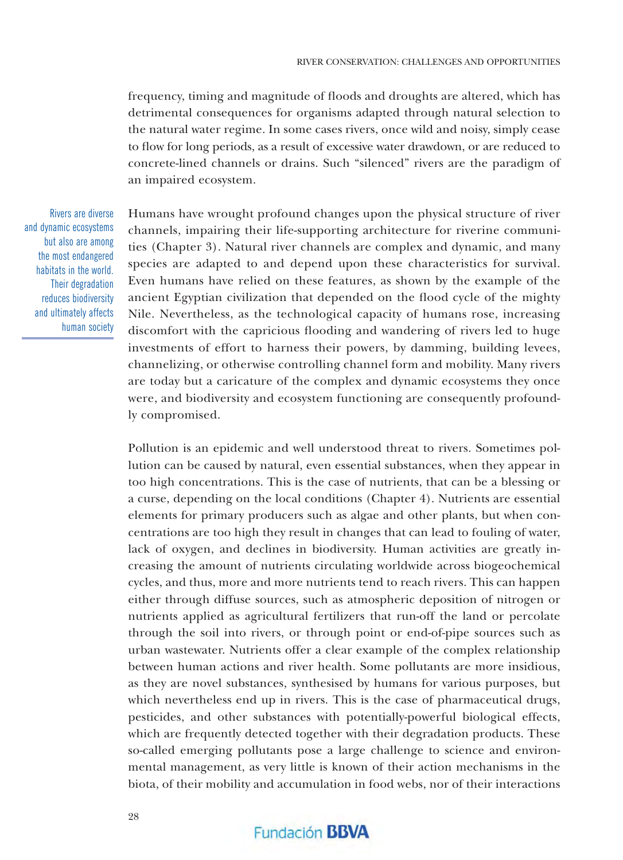frequency, timing and magnitude of floods and droughts are altered, which has detrimental consequences for organisms adapted through natural selection to the natural water regime. In some cases rivers, once wild and noisy, simply cease to flow for long periods, as a result of excessive water drawdown, or are reduced to concrete-lined channels or drains. Such "silenced" rivers are the paradigm of an impaired ecosystem.

Rivers are diverse and dynamic ecosystems but also are among the most endangered habitats in the world. Their degradation reduces biodiversity and ultimately affects human society Humans have wrought profound changes upon the physical structure of river channels, impairing their life-supporting architecture for riverine communities (Chapter 3). Natural river channels are complex and dynamic, and many species are adapted to and depend upon these characteristics for survival. Even humans have relied on these features, as shown by the example of the ancient Egyptian civilization that depended on the flood cycle of the mighty Nile. Nevertheless, as the technological capacity of humans rose, increasing discomfort with the capricious flooding and wandering of rivers led to huge investments of effort to harness their powers, by damming, building levees, channelizing, or otherwise controlling channel form and mobility. Many rivers are today but a caricature of the complex and dynamic ecosystems they once were, and biodiversity and ecosystem functioning are consequently profoundly compromised.

Pollution is an epidemic and well understood threat to rivers. Sometimes pollution can be caused by natural, even essential substances, when they appear in too high concentrations. This is the case of nutrients, that can be a blessing or a curse, depending on the local conditions (Chapter 4). Nutrients are essential elements for primary producers such as algae and other plants, but when concentrations are too high they result in changes that can lead to fouling of water, lack of oxygen, and declines in biodiversity. Human activities are greatly increasing the amount of nutrients circulating worldwide across biogeochemical cycles, and thus, more and more nutrients tend to reach rivers. This can happen either through diffuse sources, such as atmospheric deposition of nitrogen or nutrients applied as agricultural fertilizers that run-off the land or percolate through the soil into rivers, or through point or end-of-pipe sources such as urban wastewater. Nutrients offer a clear example of the complex relationship between human actions and river health. Some pollutants are more insidious, as they are novel substances, synthesised by humans for various purposes, but which nevertheless end up in rivers. This is the case of pharmaceutical drugs, pesticides, and other substances with potentially-powerful biological effects, which are frequently detected together with their degradation products. These so-called emerging pollutants pose a large challenge to science and environmental management, as very little is known of their action mechanisms in the biota, of their mobility and accumulation in food webs, nor of their interactions

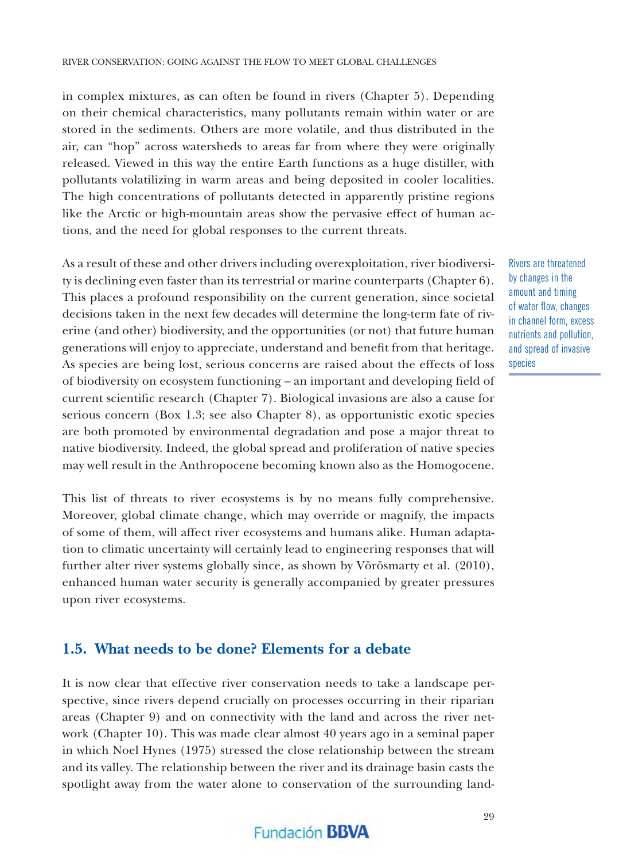in complex mixtures, as can often be found in rivers (Chapter 5). Depending on their chemical characteristics, many pollutants remain within water or are stored in the sediments. Others are more volatile, and thus distributed in the air, can "hop" across watersheds to areas far from where they were originally released. Viewed in this way the entire Earth functions as a huge distiller, with pollutants volatilizing in warm areas and being deposited in cooler localities. The high concentrations of pollutants detected in apparently pristine regions like the Arctic or high-mountain areas show the pervasive effect of human actions, and the need for global responses to the current threats.

As a result of these and other drivers including overexploitation, river biodiversity is declining even faster than its terrestrial or marine counterparts (Chapter 6). This places a profound responsibility on the current generation, since societal decisions taken in the next few decades will determine the long-term fate of riverine (and other) biodiversity, and the opportunities (or not) that future human generations will enjoy to appreciate, understand and benefi t from that heritage. As species are being lost, serious concerns are raised about the effects of loss of biodiversity on ecosystem functioning – an important and developing fi eld of current scientific research (Chapter 7). Biological invasions are also a cause for serious concern (Box 1.3; see also Chapter 8), as opportunistic exotic species are both promoted by environmental degradation and pose a major threat to native biodiversity. Indeed, the global spread and proliferation of native species may well result in the Anthropocene becoming known also as the Homogocene.

This list of threats to river ecosystems is by no means fully comprehensive. Moreover, global climate change, which may override or magnify, the impacts of some of them, will affect river ecosystems and humans alike. Human adaptation to climatic uncertainty will certainly lead to engineering responses that will further alter river systems globally since, as shown by Vörösmarty et al. (2010), enhanced human water security is generally accompanied by greater pressures upon river ecosystems.

#### **1.5. What needs to be done? Elements for a debate**

It is now clear that effective river conservation needs to take a landscape perspective, since rivers depend crucially on processes occurring in their riparian areas (Chapter 9) and on connectivity with the land and across the river network (Chapter 10). This was made clear almost 40 years ago in a seminal paper in which Noel Hynes (1975) stressed the close relationship between the stream and its valley. The relationship between the river and its drainage basin casts the spotlight away from the water alone to conservation of the surrounding land-

#### Rivers are threatened by changes in the amount and timing of water flow, changes in channel form, excess nutrients and pollution, and spread of invasive species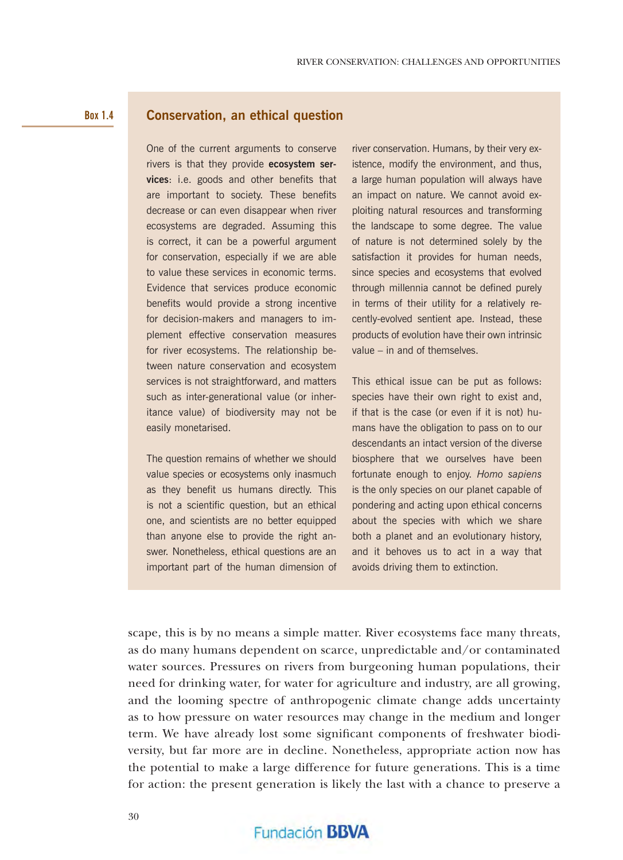#### **Box 1.4**

#### **Conservation, an ethical question**

One of the current arguments to conserve rivers is that they provide **ecosystem services**: i.e. goods and other benefits that are important to society. These benefits decrease or can even disappear when river ecosystems are degraded. Assuming this is correct, it can be a powerful argument for conservation, especially if we are able to value these services in economic terms. Evidence that services produce economic benefits would provide a strong incentive for decision-makers and managers to implement effective conservation measures for river ecosystems. The relationship between nature conservation and ecosystem services is not straightforward, and matters such as inter-generational value (or inheritance value) of biodiversity may not be easily monetarised.

The question remains of whether we should value species or ecosystems only inasmuch as they benefit us humans directly. This is not a scientific question, but an ethical one, and scientists are no better equipped than anyone else to provide the right answer. Nonetheless, ethical questions are an important part of the human dimension of

river conservation. Humans, by their very existence, modify the environment, and thus, a large human population will always have an impact on nature. We cannot avoid exploiting natural resources and transforming the landscape to some degree. The value of nature is not determined solely by the satisfaction it provides for human needs, since species and ecosystems that evolved through millennia cannot be defined purely in terms of their utility for a relatively recently-evolved sentient ape. Instead, these products of evolution have their own intrinsic value – in and of themselves.

This ethical issue can be put as follows: species have their own right to exist and, if that is the case (or even if it is not) humans have the obligation to pass on to our descendants an intact version of the diverse biosphere that we ourselves have been fortunate enough to enjoy. *Homo sapiens* is the only species on our planet capable of pondering and acting upon ethical concerns about the species with which we share both a planet and an evolutionary history, and it behoves us to act in a way that avoids driving them to extinction.

scape, this is by no means a simple matter. River ecosystems face many threats, as do many humans dependent on scarce, unpredictable and/or contaminated water sources. Pressures on rivers from burgeoning human populations, their need for drinking water, for water for agriculture and industry, are all growing, and the looming spectre of anthropogenic climate change adds uncertainty as to how pressure on water resources may change in the medium and longer term. We have already lost some significant components of freshwater biodiversity, but far more are in decline. Nonetheless, appropriate action now has the potential to make a large difference for future generations. This is a time for action: the present generation is likely the last with a chance to preserve a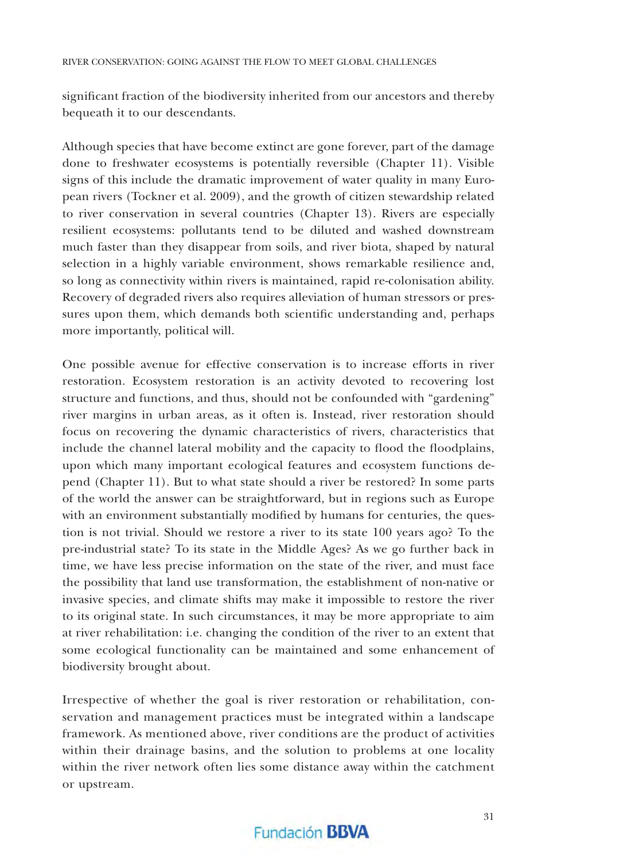significant fraction of the biodiversity inherited from our ancestors and thereby bequeath it to our descendants.

Although species that have become extinct are gone forever, part of the damage done to freshwater ecosystems is potentially reversible (Chapter 11). Visible signs of this include the dramatic improvement of water quality in many European rivers (Tockner et al. 2009), and the growth of citizen stewardship related to river conservation in several countries (Chapter 13). Rivers are especially resilient ecosystems: pollutants tend to be diluted and washed downstream much faster than they disappear from soils, and river biota, shaped by natural selection in a highly variable environment, shows remarkable resilience and, so long as connectivity within rivers is maintained, rapid re-colonisation ability. Recovery of degraded rivers also requires alleviation of human stressors or pressures upon them, which demands both scientific understanding and, perhaps more importantly, political will.

One possible avenue for effective conservation is to increase efforts in river restoration. Ecosystem restoration is an activity devoted to recovering lost structure and functions, and thus, should not be confounded with "gardening" river margins in urban areas, as it often is. Instead, river restoration should focus on recovering the dynamic characteristics of rivers, characteristics that include the channel lateral mobility and the capacity to flood the floodplains, upon which many important ecological features and ecosystem functions depend (Chapter 11). But to what state should a river be restored? In some parts of the world the answer can be straightforward, but in regions such as Europe with an environment substantially modified by humans for centuries, the question is not trivial. Should we restore a river to its state 100 years ago? To the pre-industrial state? To its state in the Middle Ages? As we go further back in time, we have less precise information on the state of the river, and must face the possibility that land use transformation, the establishment of non-native or invasive species, and climate shifts may make it impossible to restore the river to its original state. In such circumstances, it may be more appropriate to aim at river rehabilitation: i.e. changing the condition of the river to an extent that some ecological functionality can be maintained and some enhancement of biodiversity brought about.

Irrespective of whether the goal is river restoration or rehabilitation, conservation and management practices must be integrated within a landscape framework. As mentioned above, river conditions are the product of activities within their drainage basins, and the solution to problems at one locality within the river network often lies some distance away within the catchment or upstream.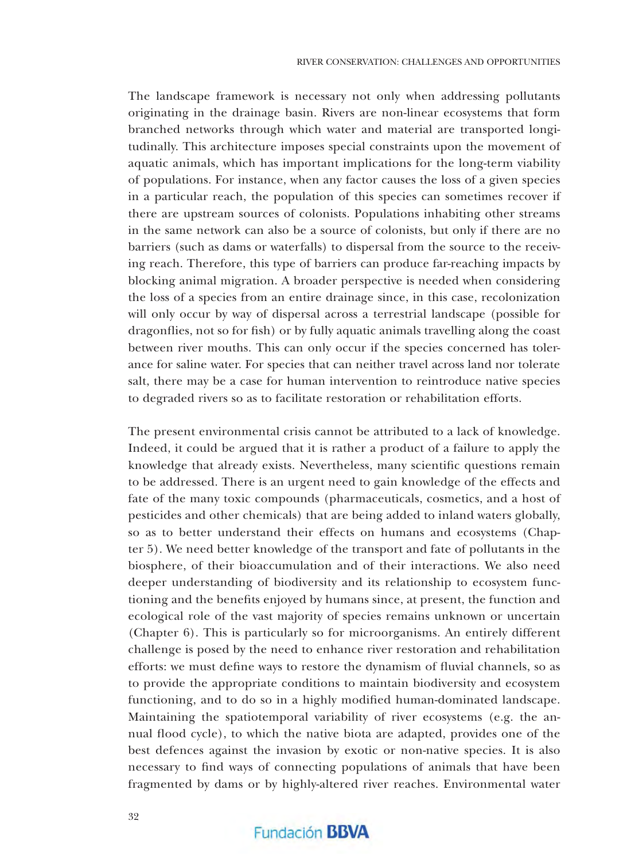The landscape framework is necessary not only when addressing pollutants originating in the drainage basin. Rivers are non-linear ecosystems that form branched networks through which water and material are transported longitudinally. This architecture imposes special constraints upon the movement of aquatic animals, which has important implications for the long-term viability of populations. For instance, when any factor causes the loss of a given species in a particular reach, the population of this species can sometimes recover if there are upstream sources of colonists. Populations inhabiting other streams in the same network can also be a source of colonists, but only if there are no barriers (such as dams or waterfalls) to dispersal from the source to the receiving reach. Therefore, this type of barriers can produce far-reaching impacts by blocking animal migration. A broader perspective is needed when considering the loss of a species from an entire drainage since, in this case, recolonization will only occur by way of dispersal across a terrestrial landscape (possible for dragonflies, not so for fish) or by fully aquatic animals travelling along the coast between river mouths. This can only occur if the species concerned has tolerance for saline water. For species that can neither travel across land nor tolerate salt, there may be a case for human intervention to reintroduce native species to degraded rivers so as to facilitate restoration or rehabilitation efforts.

The present environmental crisis cannot be attributed to a lack of knowledge. Indeed, it could be argued that it is rather a product of a failure to apply the knowledge that already exists. Nevertheless, many scientific questions remain to be addressed. There is an urgent need to gain knowledge of the effects and fate of the many toxic compounds (pharmaceuticals, cosmetics, and a host of pesticides and other chemicals) that are being added to inland waters globally, so as to better understand their effects on humans and ecosystems (Chapter 5). We need better knowledge of the transport and fate of pollutants in the biosphere, of their bioaccumulation and of their interactions. We also need deeper understanding of biodiversity and its relationship to ecosystem functioning and the benefits enjoyed by humans since, at present, the function and ecological role of the vast majority of species remains unknown or uncertain (Chapter 6). This is particularly so for microorganisms. An entirely different challenge is posed by the need to enhance river restoration and rehabilitation efforts: we must define ways to restore the dynamism of fluvial channels, so as to provide the appropriate conditions to maintain biodiversity and ecosystem functioning, and to do so in a highly modified human-dominated landscape. Maintaining the spatiotemporal variability of river ecosystems (e.g. the annual flood cycle), to which the native biota are adapted, provides one of the best defences against the invasion by exotic or non-native species. It is also necessary to find ways of connecting populations of animals that have been fragmented by dams or by highly-altered river reaches. Environmental water

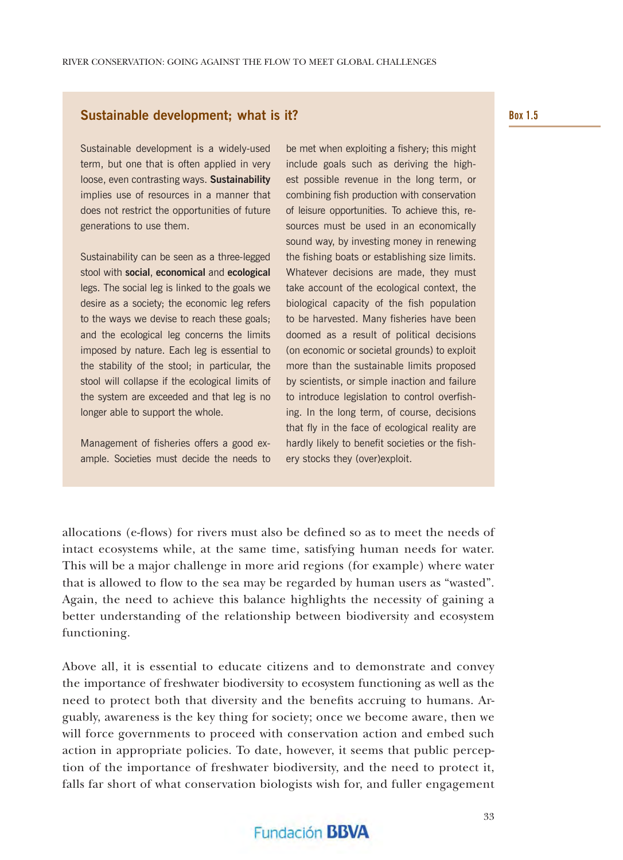#### **Sustainable development; what is it?**

Sustainable development is a widely-used term, but one that is often applied in very loose, even contrasting ways. **Sustainability** implies use of resources in a manner that does not restrict the opportunities of future generations to use them.

Sustainability can be seen as a three-legged stool with **social**, **economical** and **ecological** legs. The social leg is linked to the goals we desire as a society; the economic leg refers to the ways we devise to reach these goals; and the ecological leg concerns the limits imposed by nature. Each leg is essential to the stability of the stool; in particular, the stool will collapse if the ecological limits of the system are exceeded and that leg is no longer able to support the whole.

Management of fisheries offers a good example. Societies must decide the needs to

be met when exploiting a fishery; this might include goals such as deriving the highest possible revenue in the long term, or combining fish production with conservation of leisure opportunities. To achieve this, resources must be used in an economically sound way, by investing money in renewing the fishing boats or establishing size limits. Whatever decisions are made, they must take account of the ecological context, the biological capacity of the fish population to be harvested. Many fisheries have been doomed as a result of political decisions (on economic or societal grounds) to exploit more than the sustainable limits proposed by scientists, or simple inaction and failure to introduce legislation to control overfishing. In the long term, of course, decisions that fly in the face of ecological reality are hardly likely to benefit societies or the fishery stocks they (over)exploit.

allocations (e-flows) for rivers must also be defined so as to meet the needs of intact ecosystems while, at the same time, satisfying human needs for water. This will be a major challenge in more arid regions (for example) where water that is allowed to flow to the sea may be regarded by human users as "wasted". Again, the need to achieve this balance highlights the necessity of gaining a better understanding of the relationship between biodiversity and ecosystem functioning.

Above all, it is essential to educate citizens and to demonstrate and convey the importance of freshwater biodiversity to ecosystem functioning as well as the need to protect both that diversity and the benefits accruing to humans. Arguably, awareness is the key thing for society; once we become aware, then we will force governments to proceed with conservation action and embed such action in appropriate policies. To date, however, it seems that public perception of the importance of freshwater biodiversity, and the need to protect it, falls far short of what conservation biologists wish for, and fuller engagement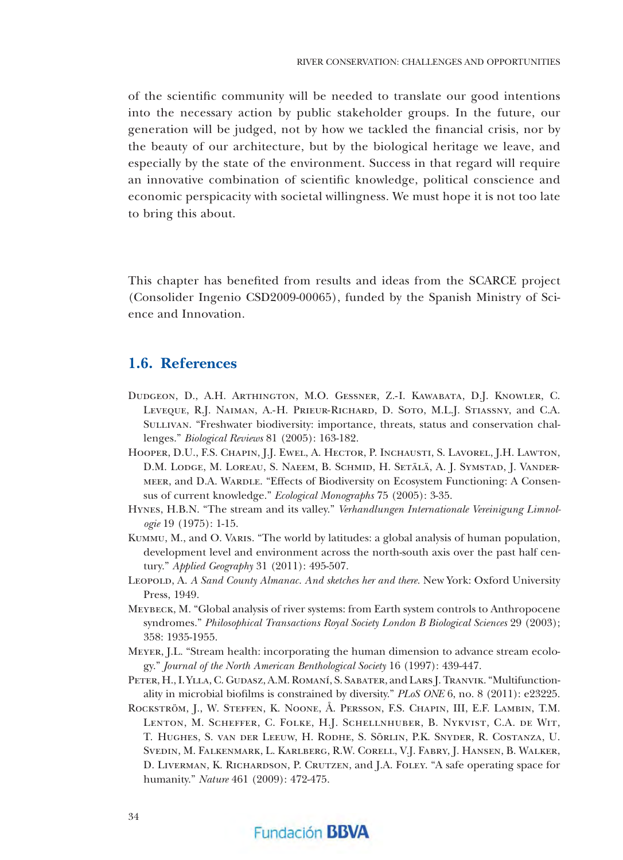of the scientifi c community will be needed to translate our good intentions into the necessary action by public stakeholder groups. In the future, our generation will be judged, not by how we tackled the financial crisis, nor by the beauty of our architecture, but by the biological heritage we leave, and especially by the state of the environment. Success in that regard will require an innovative combination of scientific knowledge, political conscience and economic perspicacity with societal willingness. We must hope it is not too late to bring this about.

This chapter has benefited from results and ideas from the SCARCE project (Consolider Ingenio CSD2009-00065), funded by the Spanish Ministry of Science and Innovation.

#### **1.6. References**

- Dudgeon, D., A.H. Arthington, M.O. Gessner, Z.-I. Kawabata, D.J. Knowler, C. Leveque, R.J. Naiman, A.-H. Prieur-Richard, D. Soto, M.L.J. Stiassny, and C.A. Sullivan. "Freshwater biodiversity: importance, threats, status and conservation challenges." *Biological Reviews* 81 (2005): 163-182.
- Hooper, D.U., F.S. Chapin, J.J. Ewel, A. Hector, P. Inchausti, S. Lavorel, J.H. Lawton, D.M. Lodge, M. Loreau, S. Naeem, B. Schmid, H. Setälä, A. J. Symstad, J. Vandermeer, and D.A. Wardle. "Effects of Biodiversity on Ecosystem Functioning: A Consensus of current knowledge." *Ecological Monographs* 75 (2005): 3-35.
- Hynes, H.B.N. "The stream and its valley." *Verhandlungen Internationale Vereinigung Limnologie* 19 (1975): 1-15.
- Kummu, M., and O. Varis. "The world by latitudes: a global analysis of human population, development level and environment across the north-south axis over the past half century." *Applied Geography* 31 (2011): 495-507.
- Leopold, A. *A Sand County Almanac. And sketches her and there.* New York: Oxford University Press, 1949.
- Meybeck, M. "Global analysis of river systems: from Earth system controls to Anthropocene syndromes." *Philosophical Transactions Royal Society London B Biological Sciences* 29 (2003); 358: 1935-1955.
- Meyer, J.L. "Stream health: incorporating the human dimension to advance stream ecology." *Journal of the North American Benthological Society* 16 (1997): 439-447.
- PETER, H., I. YLLA, C. GUDASZ, A.M. ROMANÍ, S. SABATER, and LARS J. TRANVIK. "Multifunctionality in microbial biofilms is constrained by diversity." *PLoS ONE* 6, no. 8 (2011): e23225.
- Rockström, J., W. Steffen, K. Noone, Å. Persson, F.S. Chapin, III, E.F. Lambin, T.M. Lenton, M. Scheffer, C. Folke, H.J. Schellnhuber, B. Nykvist, C.A. de Wit, T. Hughes, S. van der Leeuw, H. Rodhe, S. Sörlin, P.K. Snyder, R. Costanza, U. Svedin, M. Falkenmark, L. Karlberg, R.W. Corell, V.J. Fabry, J. Hansen, B. Walker, D. Liverman, K. Richardson, P. Crutzen, and J.A. Foley. "A safe operating space for humanity." *Nature* 461 (2009): 472-475.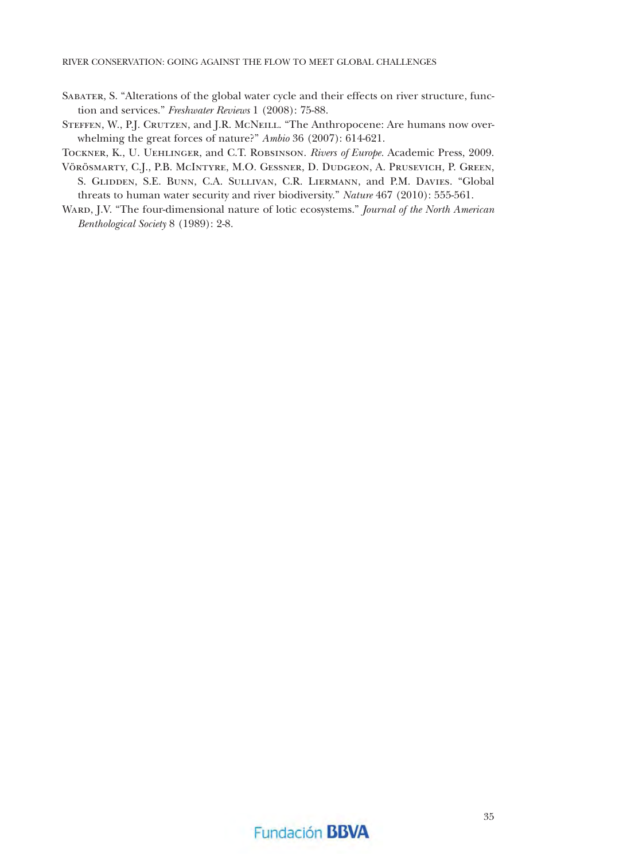- Sabater, S. "Alterations of the global water cycle and their effects on river structure, function and services." *Freshwater Reviews* 1 (2008): 75-88.
- STEFFEN, W., P.J. CRUTZEN, and J.R. McNEILL. "The Anthropocene: Are humans now overwhelming the great forces of nature?" *Ambio* 36 (2007): 614-621.

Tockner, K., U. Uehlinger, and C.T. Robsinson. *Rivers of Europe.* Academic Press, 2009.

- Vörösmarty, C.J., P.B. McIntyre, M.O. Gessner, D. Dudgeon, A. Prusevich, P. Green, S. Glidden, S.E. Bunn, C.A. Sullivan, C.R. Liermann, and P.M. Davies. "Global threats to human water security and river biodiversity." *Nature* 467 (2010): 555-561.
- Ward, J.V. "The four-dimensional nature of lotic ecosystems." *Journal of the North American Benthological Society* 8 (1989): 2-8.